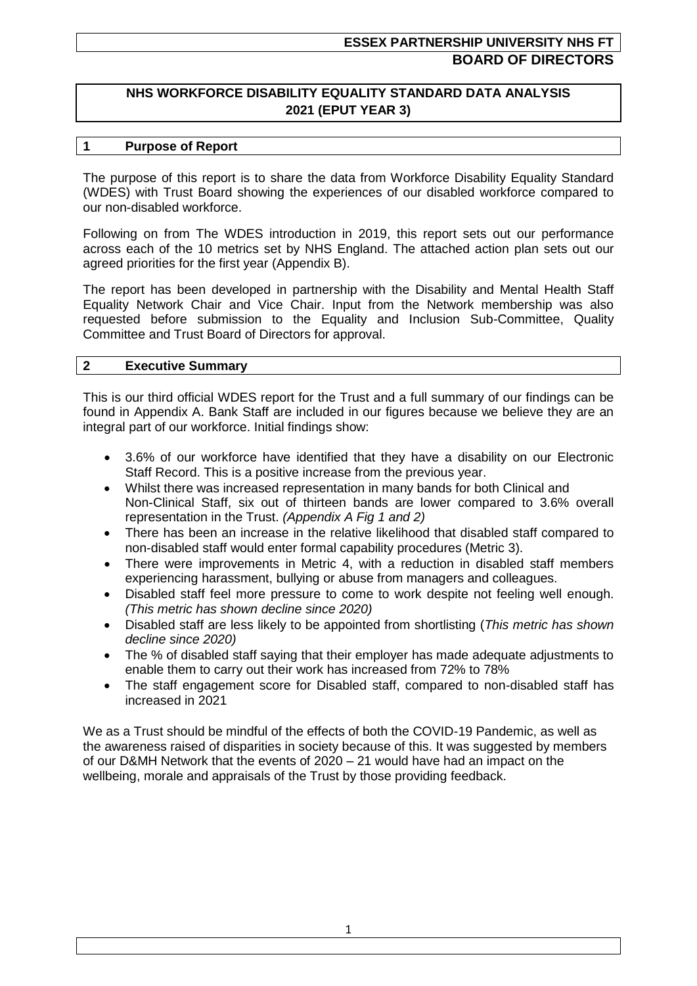# **ESSEX PARTNERSHIP UNIVERSITY NHS FT BOARD OF DIRECTORS**

## **NHS WORKFORCE DISABILITY EQUALITY STANDARD DATA ANALYSIS 2021 (EPUT YEAR 3)**

#### **1 Purpose of Report**

The purpose of this report is to share the data from Workforce Disability Equality Standard (WDES) with Trust Board showing the experiences of our disabled workforce compared to our non-disabled workforce.

Following on from The WDES introduction in 2019, this report sets out our performance across each of the 10 metrics set by NHS England. The attached action plan sets out our agreed priorities for the first year (Appendix B).

The report has been developed in partnership with the Disability and Mental Health Staff Equality Network Chair and Vice Chair. Input from the Network membership was also requested before submission to the Equality and Inclusion Sub-Committee, Quality Committee and Trust Board of Directors for approval.

#### **2 Executive Summary**

This is our third official WDES report for the Trust and a full summary of our findings can be found in Appendix A. Bank Staff are included in our figures because we believe they are an integral part of our workforce. Initial findings show:

- 3.6% of our workforce have identified that they have a disability on our Electronic Staff Record. This is a positive increase from the previous year.
- Whilst there was increased representation in many bands for both Clinical and Non-Clinical Staff, six out of thirteen bands are lower compared to 3.6% overall representation in the Trust. *(Appendix A Fig 1 and 2)*
- There has been an increase in the relative likelihood that disabled staff compared to non-disabled staff would enter formal capability procedures (Metric 3).
- There were improvements in Metric 4, with a reduction in disabled staff members experiencing harassment, bullying or abuse from managers and colleagues.
- Disabled staff feel more pressure to come to work despite not feeling well enough. *(This metric has shown decline since 2020)*
- Disabled staff are less likely to be appointed from shortlisting (*This metric has shown decline since 2020)*
- The % of disabled staff saying that their employer has made adequate adjustments to enable them to carry out their work has increased from 72% to 78%
- The staff engagement score for Disabled staff, compared to non-disabled staff has increased in 2021

We as a Trust should be mindful of the effects of both the COVID-19 Pandemic, as well as the awareness raised of disparities in society because of this. It was suggested by members of our D&MH Network that the events of 2020 – 21 would have had an impact on the wellbeing, morale and appraisals of the Trust by those providing feedback.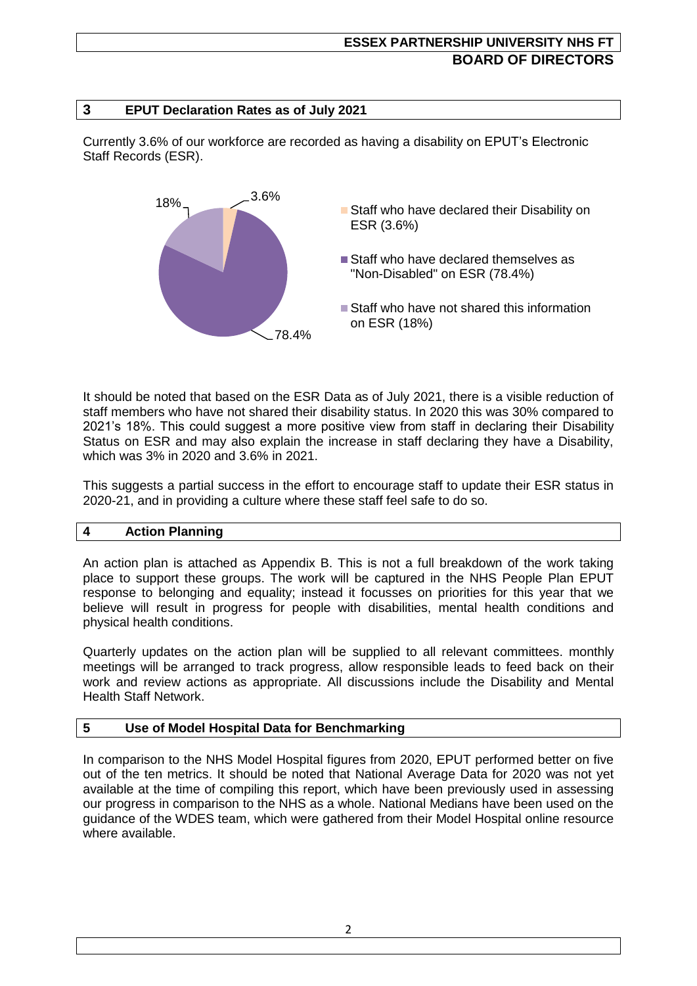# **ESSEX PARTNERSHIP UNIVERSITY NHS FT BOARD OF DIRECTORS**

## **3 EPUT Declaration Rates as of July 2021**

Currently 3.6% of our workforce are recorded as having a disability on EPUT's Electronic Staff Records (ESR).



It should be noted that based on the ESR Data as of July 2021, there is a visible reduction of staff members who have not shared their disability status. In 2020 this was 30% compared to 2021's 18%. This could suggest a more positive view from staff in declaring their Disability Status on ESR and may also explain the increase in staff declaring they have a Disability, which was 3% in 2020 and 3.6% in 2021.

This suggests a partial success in the effort to encourage staff to update their ESR status in 2020-21, and in providing a culture where these staff feel safe to do so.

### **4 Action Planning**

An action plan is attached as Appendix B. This is not a full breakdown of the work taking place to support these groups. The work will be captured in the NHS People Plan EPUT response to belonging and equality; instead it focusses on priorities for this year that we believe will result in progress for people with disabilities, mental health conditions and physical health conditions.

Quarterly updates on the action plan will be supplied to all relevant committees. monthly meetings will be arranged to track progress, allow responsible leads to feed back on their work and review actions as appropriate. All discussions include the Disability and Mental Health Staff Network.

## **5 Use of Model Hospital Data for Benchmarking**

In comparison to the NHS Model Hospital figures from 2020, EPUT performed better on five out of the ten metrics. It should be noted that National Average Data for 2020 was not yet available at the time of compiling this report, which have been previously used in assessing our progress in comparison to the NHS as a whole. National Medians have been used on the guidance of the WDES team, which were gathered from their Model Hospital online resource where available.